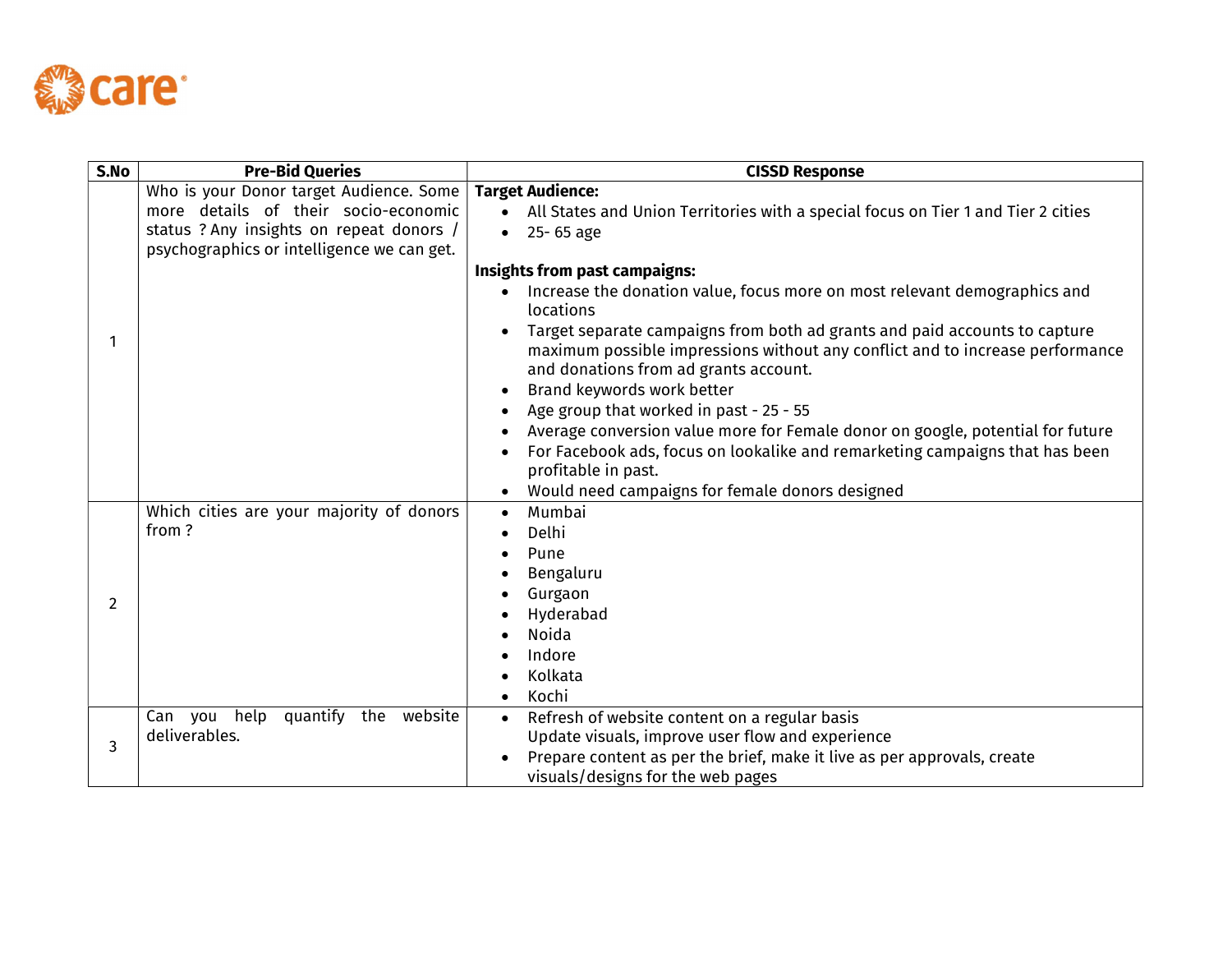

| S.No           | <b>Pre-Bid Queries</b>                                                                                                                                                    | <b>CISSD Response</b>                                                                                                                                                                                                                                                                                                                                                                                                                                                                                                                                                                                                                                                                                                 |  |  |  |
|----------------|---------------------------------------------------------------------------------------------------------------------------------------------------------------------------|-----------------------------------------------------------------------------------------------------------------------------------------------------------------------------------------------------------------------------------------------------------------------------------------------------------------------------------------------------------------------------------------------------------------------------------------------------------------------------------------------------------------------------------------------------------------------------------------------------------------------------------------------------------------------------------------------------------------------|--|--|--|
|                | Who is your Donor target Audience. Some<br>more details of their socio-economic<br>status ? Any insights on repeat donors /<br>psychographics or intelligence we can get. | <b>Target Audience:</b><br>All States and Union Territories with a special focus on Tier 1 and Tier 2 cities<br>$-25 - 65$ age                                                                                                                                                                                                                                                                                                                                                                                                                                                                                                                                                                                        |  |  |  |
| 1              |                                                                                                                                                                           | Insights from past campaigns:<br>Increase the donation value, focus more on most relevant demographics and<br>locations<br>Target separate campaigns from both ad grants and paid accounts to capture<br>$\bullet$<br>maximum possible impressions without any conflict and to increase performance<br>and donations from ad grants account.<br>Brand keywords work better<br>$\bullet$<br>Age group that worked in past - 25 - 55<br>$\bullet$<br>Average conversion value more for Female donor on google, potential for future<br>$\bullet$<br>For Facebook ads, focus on lookalike and remarketing campaigns that has been<br>profitable in past.<br>Would need campaigns for female donors designed<br>$\bullet$ |  |  |  |
| $\overline{2}$ | Which cities are your majority of donors<br>from?                                                                                                                         | Mumbai<br>$\bullet$<br>Delhi<br>Pune<br>Bengaluru<br>Gurgaon<br>Hyderabad<br><b>Noida</b><br>Indore<br>Kolkata<br>Kochi                                                                                                                                                                                                                                                                                                                                                                                                                                                                                                                                                                                               |  |  |  |
| 3              | quantify the website<br>Can you help<br>deliverables.                                                                                                                     | Refresh of website content on a regular basis<br>$\bullet$<br>Update visuals, improve user flow and experience<br>Prepare content as per the brief, make it live as per approvals, create<br>visuals/designs for the web pages                                                                                                                                                                                                                                                                                                                                                                                                                                                                                        |  |  |  |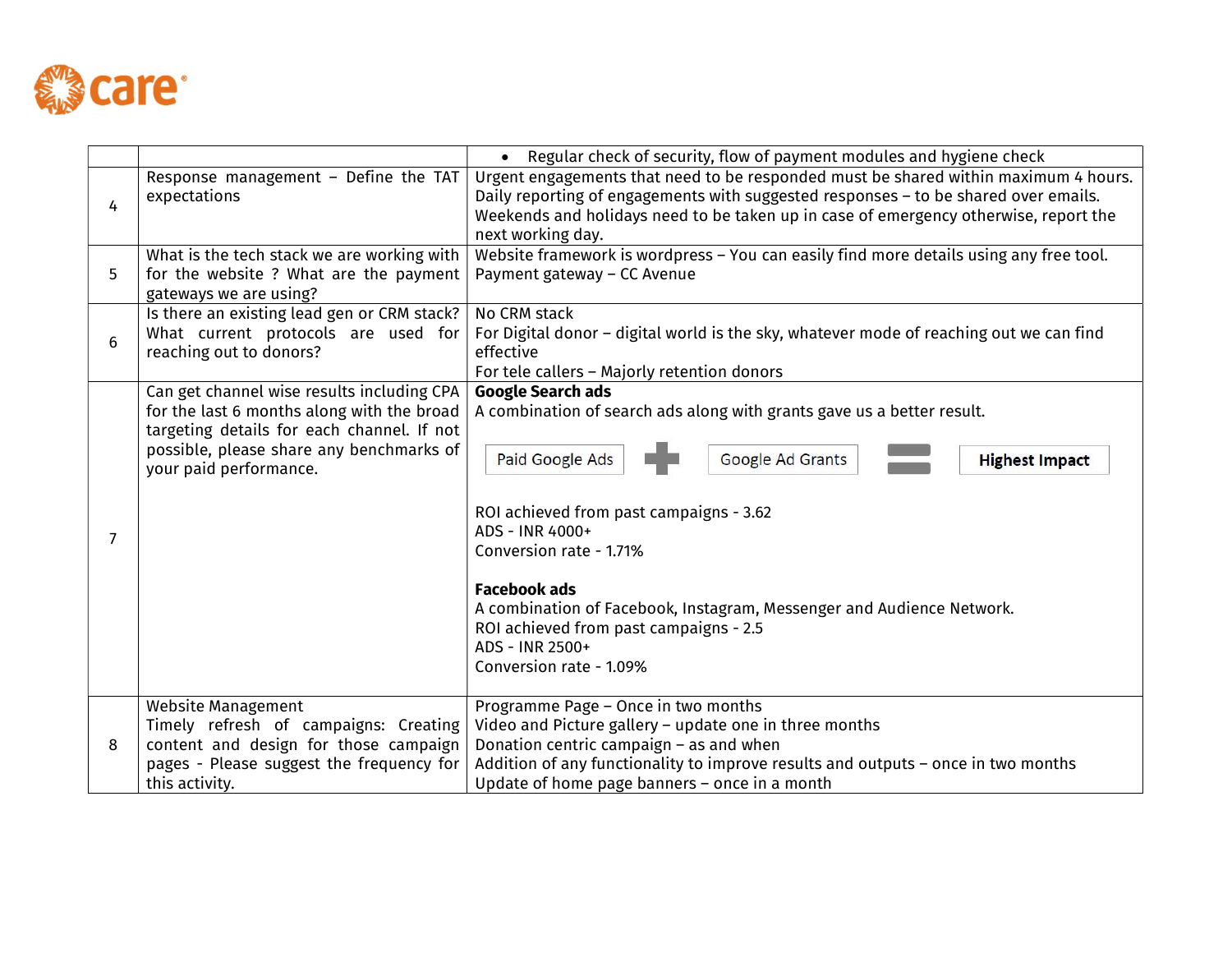

|   |                                                                                                                                                                                                              | Regular check of security, flow of payment modules and hygiene check<br>$\bullet$                                                                                                                                                                                                                                                                                                                                                                   |  |  |  |  |
|---|--------------------------------------------------------------------------------------------------------------------------------------------------------------------------------------------------------------|-----------------------------------------------------------------------------------------------------------------------------------------------------------------------------------------------------------------------------------------------------------------------------------------------------------------------------------------------------------------------------------------------------------------------------------------------------|--|--|--|--|
| 4 | Response management - Define the TAT<br>expectations                                                                                                                                                         | Urgent engagements that need to be responded must be shared within maximum 4 hours.<br>Daily reporting of engagements with suggested responses - to be shared over emails.<br>Weekends and holidays need to be taken up in case of emergency otherwise, report the<br>next working day.                                                                                                                                                             |  |  |  |  |
| 5 | What is the tech stack we are working with<br>for the website ? What are the payment<br>gateways we are using?                                                                                               | Website framework is wordpress - You can easily find more details using any free tool.<br>Payment gateway - CC Avenue                                                                                                                                                                                                                                                                                                                               |  |  |  |  |
| 6 | Is there an existing lead gen or CRM stack?<br>What current protocols are used for<br>reaching out to donors?                                                                                                | No CRM stack<br>For Digital donor - digital world is the sky, whatever mode of reaching out we can find<br>effective<br>For tele callers - Majorly retention donors                                                                                                                                                                                                                                                                                 |  |  |  |  |
| 7 | Can get channel wise results including CPA<br>for the last 6 months along with the broad<br>targeting details for each channel. If not<br>possible, please share any benchmarks of<br>your paid performance. | <b>Google Search ads</b><br>A combination of search ads along with grants gave us a better result.<br>Paid Google Ads<br>Google Ad Grants<br><b>Highest Impact</b><br>ROI achieved from past campaigns - 3.62<br>ADS - INR 4000+<br>Conversion rate - 1.71%<br><b>Facebook ads</b><br>A combination of Facebook, Instagram, Messenger and Audience Network.<br>ROI achieved from past campaigns - 2.5<br>ADS - INR 2500+<br>Conversion rate - 1.09% |  |  |  |  |
| 8 | Website Management<br>Timely refresh of campaigns: Creating<br>content and design for those campaign<br>pages - Please suggest the frequency for<br>this activity.                                           | Programme Page - Once in two months<br>Video and Picture gallery - update one in three months<br>Donation centric campaign - as and when<br>Addition of any functionality to improve results and outputs - once in two months<br>Update of home page banners - once in a month                                                                                                                                                                      |  |  |  |  |